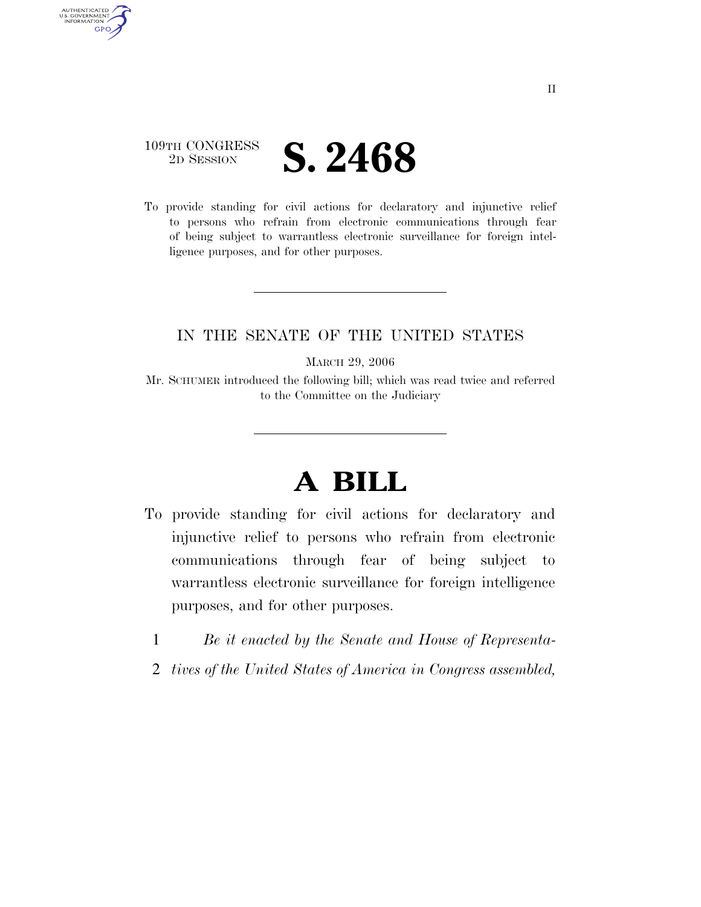## 109TH CONGRESS 2D SESSION **S. 2468**

AUTHENTICATED<br>U.S. GOVERNMENT<br>INFORMATION GPO

> To provide standing for civil actions for declaratory and injunctive relief to persons who refrain from electronic communications through fear of being subject to warrantless electronic surveillance for foreign intelligence purposes, and for other purposes.

## IN THE SENATE OF THE UNITED STATES

MARCH 29, 2006

Mr. SCHUMER introduced the following bill; which was read twice and referred to the Committee on the Judiciary

## **A BILL**

- To provide standing for civil actions for declaratory and injunctive relief to persons who refrain from electronic communications through fear of being subject to warrantless electronic surveillance for foreign intelligence purposes, and for other purposes.
	- 1 *Be it enacted by the Senate and House of Representa-*
	- 2 *tives of the United States of America in Congress assembled,*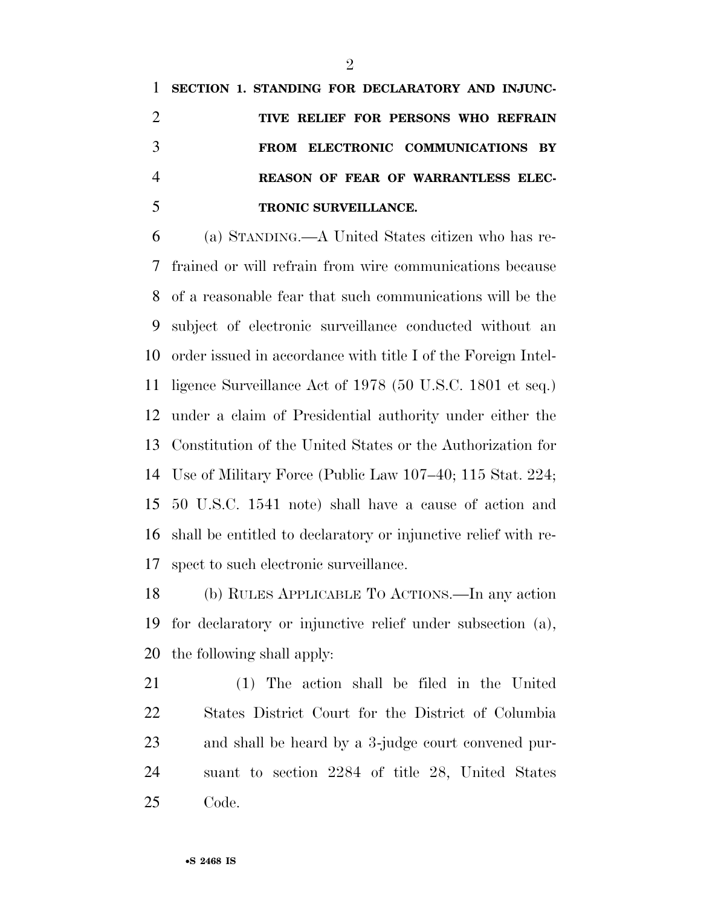**SECTION 1. STANDING FOR DECLARATORY AND INJUNC- TIVE RELIEF FOR PERSONS WHO REFRAIN FROM ELECTRONIC COMMUNICATIONS BY REASON OF FEAR OF WARRANTLESS ELEC-TRONIC SURVEILLANCE.** 

 (a) STANDING.—A United States citizen who has re- frained or will refrain from wire communications because of a reasonable fear that such communications will be the subject of electronic surveillance conducted without an order issued in accordance with title I of the Foreign Intel- ligence Surveillance Act of 1978 (50 U.S.C. 1801 et seq.) under a claim of Presidential authority under either the Constitution of the United States or the Authorization for Use of Military Force (Public Law 107–40; 115 Stat. 224; 50 U.S.C. 1541 note) shall have a cause of action and shall be entitled to declaratory or injunctive relief with re-spect to such electronic surveillance.

 (b) RULES APPLICABLE TO ACTIONS.—In any action for declaratory or injunctive relief under subsection (a), the following shall apply:

 (1) The action shall be filed in the United States District Court for the District of Columbia and shall be heard by a 3-judge court convened pur- suant to section 2284 of title 28, United States Code.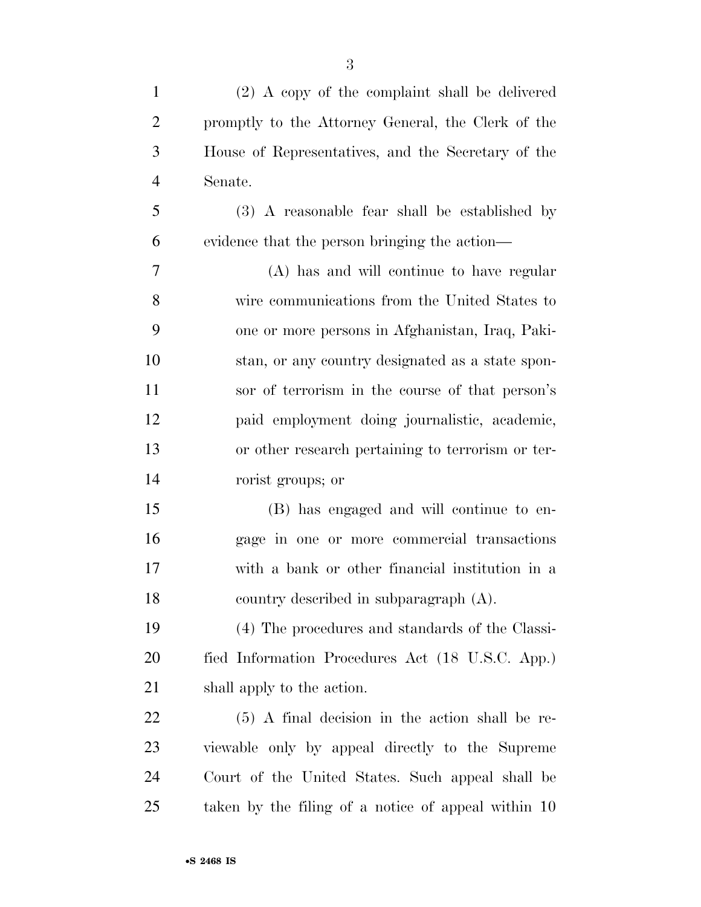| $\mathbf{1}$   | $(2)$ A copy of the complaint shall be delivered    |
|----------------|-----------------------------------------------------|
| $\overline{2}$ | promptly to the Attorney General, the Clerk of the  |
| 3              | House of Representatives, and the Secretary of the  |
| $\overline{4}$ | Senate.                                             |
| 5              | (3) A reasonable fear shall be established by       |
| 6              | evidence that the person bringing the action—       |
| 7              | (A) has and will continue to have regular           |
| 8              | wire communications from the United States to       |
| 9              | one or more persons in Afghanistan, Iraq, Paki-     |
| 10             | stan, or any country designated as a state spon-    |
| 11             | sor of terrorism in the course of that person's     |
| 12             | paid employment doing journalistic, academic,       |
| 13             | or other research pertaining to terrorism or ter-   |
| 14             | rorist groups; or                                   |
| 15             | (B) has engaged and will continue to en-            |
| 16             | gage in one or more commercial transactions         |
| 17             | with a bank or other financial institution in a     |
| 18             | country described in subparagraph (A).              |
| 19             | (4) The procedures and standards of the Classi-     |
| 20             | fied Information Procedures Act (18 U.S.C. App.)    |
| 21             | shall apply to the action.                          |
| 22             | $(5)$ A final decision in the action shall be re-   |
| 23             | viewable only by appeal directly to the Supreme     |
| 24             | Court of the United States. Such appeal shall be    |
| 25             | taken by the filing of a notice of appeal within 10 |